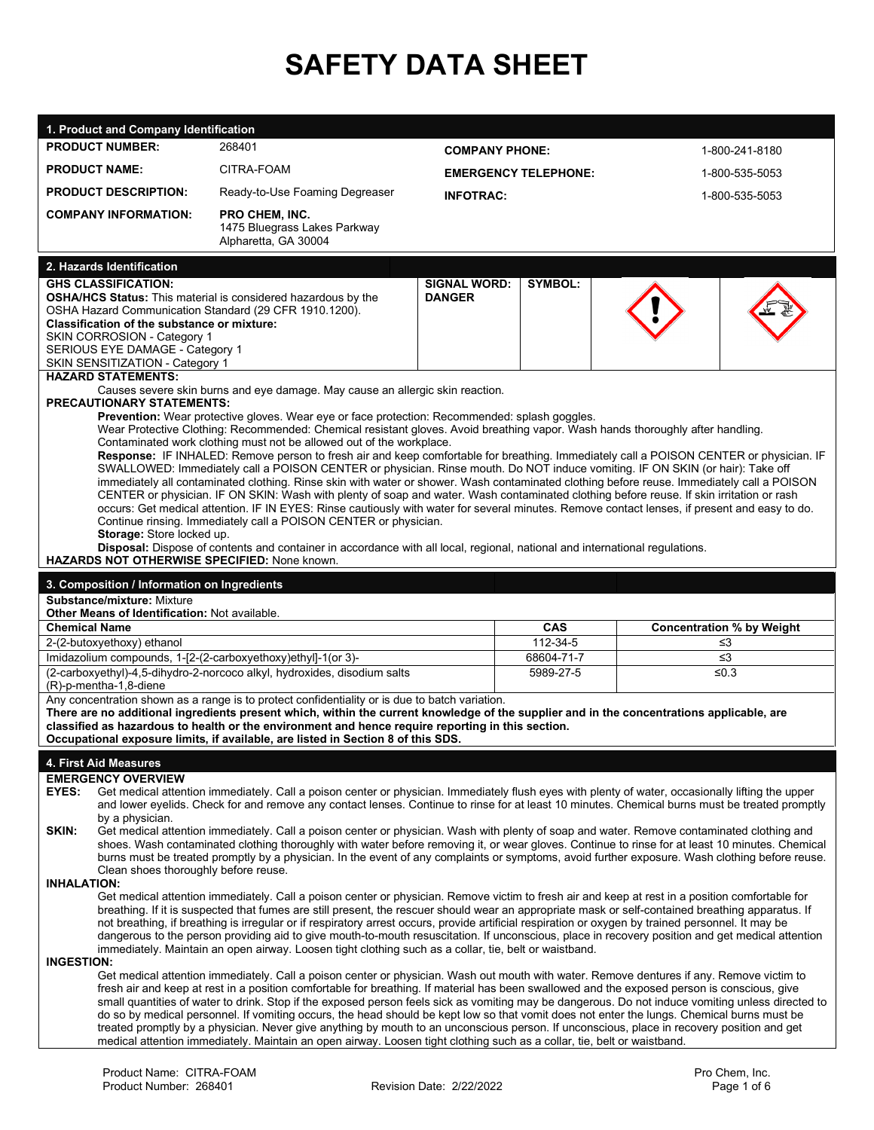# **SAFETY DATA SHEET**

| 1. Product and Company Identification                                                                                                                                                                                                                                                                   |                                                                                                                                                                                                                                                                             |                             |                        |  |                                              |  |  |
|---------------------------------------------------------------------------------------------------------------------------------------------------------------------------------------------------------------------------------------------------------------------------------------------------------|-----------------------------------------------------------------------------------------------------------------------------------------------------------------------------------------------------------------------------------------------------------------------------|-----------------------------|------------------------|--|----------------------------------------------|--|--|
| <b>PRODUCT NUMBER:</b>                                                                                                                                                                                                                                                                                  | 268401                                                                                                                                                                                                                                                                      | <b>COMPANY PHONE:</b>       |                        |  | 1-800-241-8180                               |  |  |
| <b>PRODUCT NAME:</b>                                                                                                                                                                                                                                                                                    | CITRA-FOAM                                                                                                                                                                                                                                                                  | <b>EMERGENCY TELEPHONE:</b> |                        |  | 1-800-535-5053                               |  |  |
| <b>PRODUCT DESCRIPTION:</b>                                                                                                                                                                                                                                                                             | Ready-to-Use Foaming Degreaser                                                                                                                                                                                                                                              |                             |                        |  |                                              |  |  |
| <b>COMPANY INFORMATION:</b>                                                                                                                                                                                                                                                                             | <b>PRO CHEM. INC.</b>                                                                                                                                                                                                                                                       | <b>INFOTRAC:</b>            |                        |  | 1-800-535-5053                               |  |  |
|                                                                                                                                                                                                                                                                                                         | 1475 Bluegrass Lakes Parkway                                                                                                                                                                                                                                                |                             |                        |  |                                              |  |  |
|                                                                                                                                                                                                                                                                                                         | Alpharetta, GA 30004                                                                                                                                                                                                                                                        |                             |                        |  |                                              |  |  |
| 2. Hazards Identification                                                                                                                                                                                                                                                                               |                                                                                                                                                                                                                                                                             |                             |                        |  |                                              |  |  |
| <b>GHS CLASSIFICATION:</b>                                                                                                                                                                                                                                                                              |                                                                                                                                                                                                                                                                             | <b>SIGNAL WORD:</b>         | <b>SYMBOL:</b>         |  |                                              |  |  |
| OSHA Hazard Communication Standard (29 CFR 1910.1200).                                                                                                                                                                                                                                                  | <b>OSHA/HCS Status:</b> This material is considered hazardous by the                                                                                                                                                                                                        | <b>DANGER</b>               |                        |  |                                              |  |  |
| Classification of the substance or mixture:                                                                                                                                                                                                                                                             |                                                                                                                                                                                                                                                                             |                             |                        |  |                                              |  |  |
| SKIN CORROSION - Category 1                                                                                                                                                                                                                                                                             |                                                                                                                                                                                                                                                                             |                             |                        |  |                                              |  |  |
| SERIOUS EYE DAMAGE - Category 1<br>SKIN SENSITIZATION - Category 1                                                                                                                                                                                                                                      |                                                                                                                                                                                                                                                                             |                             |                        |  |                                              |  |  |
| <b>HAZARD STATEMENTS:</b>                                                                                                                                                                                                                                                                               |                                                                                                                                                                                                                                                                             |                             |                        |  |                                              |  |  |
| <b>PRECAUTIONARY STATEMENTS:</b>                                                                                                                                                                                                                                                                        | Causes severe skin burns and eye damage. May cause an allergic skin reaction.                                                                                                                                                                                               |                             |                        |  |                                              |  |  |
|                                                                                                                                                                                                                                                                                                         | <b>Prevention:</b> Wear protective gloves. Wear eye or face protection: Recommended: splash goggles.                                                                                                                                                                        |                             |                        |  |                                              |  |  |
|                                                                                                                                                                                                                                                                                                         | Wear Protective Clothing: Recommended: Chemical resistant gloves. Avoid breathing vapor. Wash hands thoroughly after handling.<br>Contaminated work clothing must not be allowed out of the workplace.                                                                      |                             |                        |  |                                              |  |  |
|                                                                                                                                                                                                                                                                                                         | Response: IF INHALED: Remove person to fresh air and keep comfortable for breathing. Immediately call a POISON CENTER or physician. IF                                                                                                                                      |                             |                        |  |                                              |  |  |
|                                                                                                                                                                                                                                                                                                         | SWALLOWED: Immediately call a POISON CENTER or physician. Rinse mouth. Do NOT induce vomiting. IF ON SKIN (or hair): Take off<br>immediately all contaminated clothing. Rinse skin with water or shower. Wash contaminated clothing before reuse. Immediately call a POISON |                             |                        |  |                                              |  |  |
|                                                                                                                                                                                                                                                                                                         | CENTER or physician. IF ON SKIN: Wash with plenty of soap and water. Wash contaminated clothing before reuse. If skin irritation or rash                                                                                                                                    |                             |                        |  |                                              |  |  |
|                                                                                                                                                                                                                                                                                                         | occurs: Get medical attention. IF IN EYES: Rinse cautiously with water for several minutes. Remove contact lenses, if present and easy to do.<br>Continue rinsing. Immediately call a POISON CENTER or physician.                                                           |                             |                        |  |                                              |  |  |
| Storage: Store locked up.                                                                                                                                                                                                                                                                               |                                                                                                                                                                                                                                                                             |                             |                        |  |                                              |  |  |
|                                                                                                                                                                                                                                                                                                         | Disposal: Dispose of contents and container in accordance with all local, regional, national and international regulations.                                                                                                                                                 |                             |                        |  |                                              |  |  |
| HAZARDS NOT OTHERWISE SPECIFIED: None known.                                                                                                                                                                                                                                                            |                                                                                                                                                                                                                                                                             |                             |                        |  |                                              |  |  |
| 3. Composition / Information on Ingredients<br>Substance/mixture: Mixture                                                                                                                                                                                                                               |                                                                                                                                                                                                                                                                             |                             |                        |  |                                              |  |  |
| <b>Other Means of Identification: Not available.</b>                                                                                                                                                                                                                                                    |                                                                                                                                                                                                                                                                             |                             |                        |  |                                              |  |  |
| <b>Chemical Name</b>                                                                                                                                                                                                                                                                                    |                                                                                                                                                                                                                                                                             |                             | <b>CAS</b><br>112-34-5 |  | <b>Concentration % by Weight</b><br>$\leq$ 3 |  |  |
| 2-(2-butoxyethoxy) ethanol<br>Imidazolium compounds, 1-[2-(2-carboxyethoxy)ethyl]-1(or 3)-                                                                                                                                                                                                              |                                                                                                                                                                                                                                                                             |                             | 68604-71-7             |  | ≤3                                           |  |  |
|                                                                                                                                                                                                                                                                                                         | (2-carboxyethyl)-4,5-dihydro-2-norcoco alkyl, hydroxides, disodium salts                                                                                                                                                                                                    |                             | 5989-27-5              |  | ≤ $0.3$                                      |  |  |
| (R)-p-mentha-1,8-diene                                                                                                                                                                                                                                                                                  | Any concentration shown as a range is to protect confidentiality or is due to batch variation.                                                                                                                                                                              |                             |                        |  |                                              |  |  |
|                                                                                                                                                                                                                                                                                                         | There are no additional ingredients present which, within the current knowledge of the supplier and in the concentrations applicable, are                                                                                                                                   |                             |                        |  |                                              |  |  |
| classified as hazardous to health or the environment and hence require reporting in this section.                                                                                                                                                                                                       |                                                                                                                                                                                                                                                                             |                             |                        |  |                                              |  |  |
| Occupational exposure limits, if available, are listed in Section 8 of this SDS.                                                                                                                                                                                                                        |                                                                                                                                                                                                                                                                             |                             |                        |  |                                              |  |  |
| 4. First Aid Measures                                                                                                                                                                                                                                                                                   |                                                                                                                                                                                                                                                                             |                             |                        |  |                                              |  |  |
| <b>EMERGENCY OVERVIEW</b><br>EYES:<br>Get medical attention immediately. Call a poison center or physician. Immediately flush eyes with plenty of water, occasionally lifting the upper                                                                                                                 |                                                                                                                                                                                                                                                                             |                             |                        |  |                                              |  |  |
| and lower eyelids. Check for and remove any contact lenses. Continue to rinse for at least 10 minutes. Chemical burns must be treated promptly                                                                                                                                                          |                                                                                                                                                                                                                                                                             |                             |                        |  |                                              |  |  |
| by a physician.<br>SKIN:<br>Get medical attention immediately. Call a poison center or physician. Wash with plenty of soap and water. Remove contaminated clothing and                                                                                                                                  |                                                                                                                                                                                                                                                                             |                             |                        |  |                                              |  |  |
| shoes. Wash contaminated clothing thoroughly with water before removing it, or wear gloves. Continue to rinse for at least 10 minutes. Chemical                                                                                                                                                         |                                                                                                                                                                                                                                                                             |                             |                        |  |                                              |  |  |
| burns must be treated promptly by a physician. In the event of any complaints or symptoms, avoid further exposure. Wash clothing before reuse.<br>Clean shoes thoroughly before reuse.                                                                                                                  |                                                                                                                                                                                                                                                                             |                             |                        |  |                                              |  |  |
| <b>INHALATION:</b>                                                                                                                                                                                                                                                                                      |                                                                                                                                                                                                                                                                             |                             |                        |  |                                              |  |  |
| Get medical attention immediately. Call a poison center or physician. Remove victim to fresh air and keep at rest in a position comfortable for                                                                                                                                                         |                                                                                                                                                                                                                                                                             |                             |                        |  |                                              |  |  |
| breathing. If it is suspected that fumes are still present, the rescuer should wear an appropriate mask or self-contained breathing apparatus. If<br>not breathing, if breathing is irregular or if respiratory arrest occurs, provide artificial respiration or oxygen by trained personnel. It may be |                                                                                                                                                                                                                                                                             |                             |                        |  |                                              |  |  |
| dangerous to the person providing aid to give mouth-to-mouth resuscitation. If unconscious, place in recovery position and get medical attention                                                                                                                                                        |                                                                                                                                                                                                                                                                             |                             |                        |  |                                              |  |  |
| immediately. Maintain an open airway. Loosen tight clothing such as a collar, tie, belt or waistband.<br><b>INGESTION:</b>                                                                                                                                                                              |                                                                                                                                                                                                                                                                             |                             |                        |  |                                              |  |  |
|                                                                                                                                                                                                                                                                                                         | Get medical attention immediately. Call a poison center or physician. Wash out mouth with water. Remove dentures if any. Remove victim to                                                                                                                                   |                             |                        |  |                                              |  |  |
|                                                                                                                                                                                                                                                                                                         | fresh air and keep at rest in a position comfortable for breathing. If material has been swallowed and the exposed person is conscious, give                                                                                                                                |                             |                        |  |                                              |  |  |
| small quantities of water to drink. Stop if the exposed person feels sick as vomiting may be dangerous. Do not induce vomiting unless directed to<br>do so by medical personnel. If vomiting occurs, the head should be kept low so that vomit does not enter the lungs. Chemical burns must be         |                                                                                                                                                                                                                                                                             |                             |                        |  |                                              |  |  |
| treated promptly by a physician. Never give anything by mouth to an unconscious person. If unconscious, place in recovery position and get<br>medical attention immediately. Maintain an open airway. Loosen tight clothing such as a collar, tie, belt or waistband.                                   |                                                                                                                                                                                                                                                                             |                             |                        |  |                                              |  |  |
|                                                                                                                                                                                                                                                                                                         |                                                                                                                                                                                                                                                                             |                             |                        |  |                                              |  |  |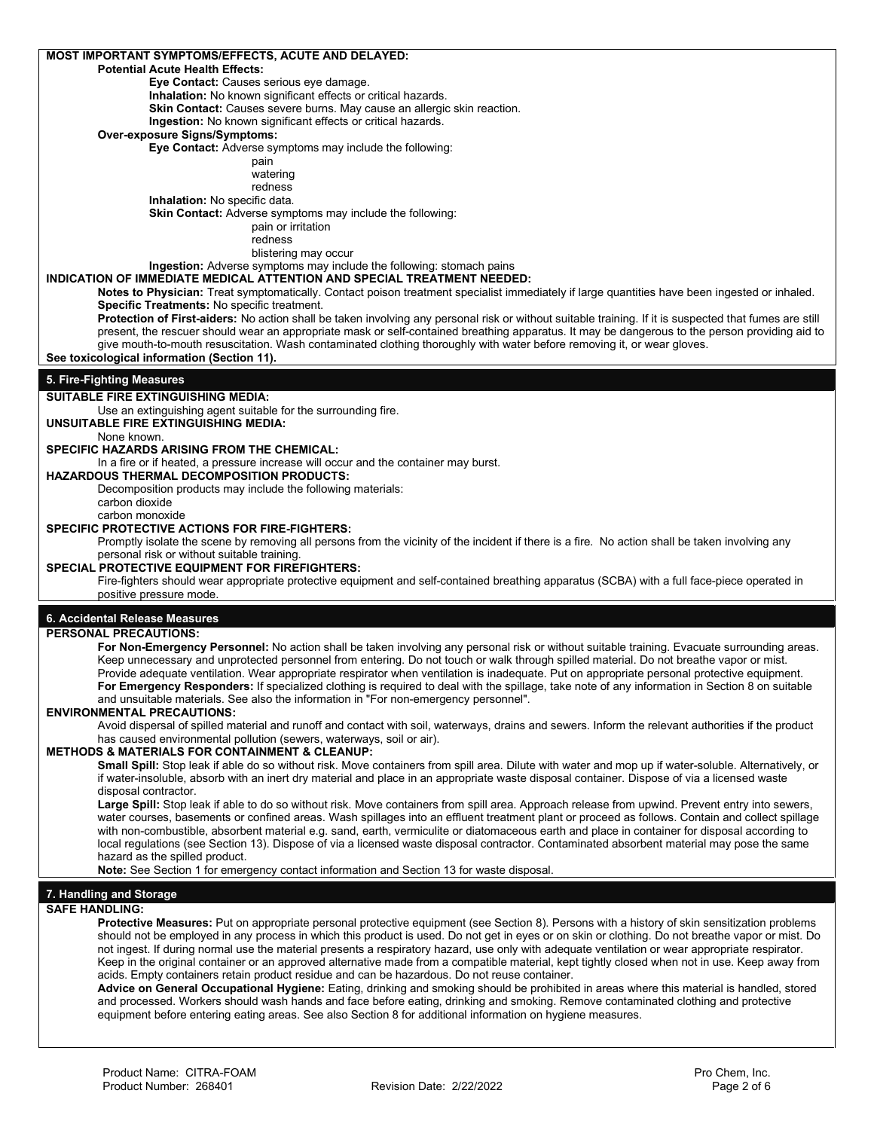| <b>Potential Acute Health Effects:</b>                                                                                                                                                                                                                                                             |
|----------------------------------------------------------------------------------------------------------------------------------------------------------------------------------------------------------------------------------------------------------------------------------------------------|
| Eye Contact: Causes serious eye damage.                                                                                                                                                                                                                                                            |
| Inhalation: No known significant effects or critical hazards.                                                                                                                                                                                                                                      |
| Skin Contact: Causes severe burns. May cause an allergic skin reaction.                                                                                                                                                                                                                            |
| Ingestion: No known significant effects or critical hazards.                                                                                                                                                                                                                                       |
| <b>Over-exposure Signs/Symptoms:</b>                                                                                                                                                                                                                                                               |
| Eye Contact: Adverse symptoms may include the following:                                                                                                                                                                                                                                           |
| pain<br>watering                                                                                                                                                                                                                                                                                   |
| redness                                                                                                                                                                                                                                                                                            |
| Inhalation: No specific data.                                                                                                                                                                                                                                                                      |
| Skin Contact: Adverse symptoms may include the following:                                                                                                                                                                                                                                          |
| pain or irritation                                                                                                                                                                                                                                                                                 |
| redness                                                                                                                                                                                                                                                                                            |
| blistering may occur                                                                                                                                                                                                                                                                               |
| Ingestion: Adverse symptoms may include the following: stomach pains                                                                                                                                                                                                                               |
| INDICATION OF IMMEDIATE MEDICAL ATTENTION AND SPECIAL TREATMENT NEEDED:                                                                                                                                                                                                                            |
| Notes to Physician: Treat symptomatically. Contact poison treatment specialist immediately if large quantities have been ingested or inhaled.                                                                                                                                                      |
| <b>Specific Treatments: No specific treatment.</b><br>Protection of First-aiders: No action shall be taken involving any personal risk or without suitable training. If it is suspected that fumes are still                                                                                       |
| present, the rescuer should wear an appropriate mask or self-contained breathing apparatus. It may be dangerous to the person providing aid to                                                                                                                                                     |
| give mouth-to-mouth resuscitation. Wash contaminated clothing thoroughly with water before removing it, or wear gloves.                                                                                                                                                                            |
| See toxicological information (Section 11).                                                                                                                                                                                                                                                        |
|                                                                                                                                                                                                                                                                                                    |
| 5. Fire-Fighting Measures                                                                                                                                                                                                                                                                          |
| SUITABLE FIRE EXTINGUISHING MEDIA:                                                                                                                                                                                                                                                                 |
| Use an extinguishing agent suitable for the surrounding fire.                                                                                                                                                                                                                                      |
| UNSUITABLE FIRE EXTINGUISHING MEDIA:<br>None known.                                                                                                                                                                                                                                                |
| SPECIFIC HAZARDS ARISING FROM THE CHEMICAL:                                                                                                                                                                                                                                                        |
| In a fire or if heated, a pressure increase will occur and the container may burst.                                                                                                                                                                                                                |
| <b>HAZARDOUS THERMAL DECOMPOSITION PRODUCTS:</b>                                                                                                                                                                                                                                                   |
| Decomposition products may include the following materials:                                                                                                                                                                                                                                        |
| carbon dioxide                                                                                                                                                                                                                                                                                     |
| carbon monoxide                                                                                                                                                                                                                                                                                    |
| <b>SPECIFIC PROTECTIVE ACTIONS FOR FIRE-FIGHTERS:</b>                                                                                                                                                                                                                                              |
| Promptly isolate the scene by removing all persons from the vicinity of the incident if there is a fire. No action shall be taken involving any                                                                                                                                                    |
| personal risk or without suitable training.<br><b>SPECIAL PROTECTIVE EQUIPMENT FOR FIREFIGHTERS:</b>                                                                                                                                                                                               |
| Fire-fighters should wear appropriate protective equipment and self-contained breathing apparatus (SCBA) with a full face-piece operated in                                                                                                                                                        |
| positive pressure mode.                                                                                                                                                                                                                                                                            |
|                                                                                                                                                                                                                                                                                                    |
| 6. Accidental Release Measures                                                                                                                                                                                                                                                                     |
| <b>PERSONAL PRECAUTIONS:</b>                                                                                                                                                                                                                                                                       |
| For Non-Emergency Personnel: No action shall be taken involving any personal risk or without suitable training. Evacuate surrounding areas.                                                                                                                                                        |
| Keep unnecessary and unprotected personnel from entering. Do not touch or walk through spilled material. Do not breathe vapor or mist.                                                                                                                                                             |
|                                                                                                                                                                                                                                                                                                    |
| Provide adequate ventilation. Wear appropriate respirator when ventilation is inadequate. Put on appropriate personal protective equipment.                                                                                                                                                        |
| For Emergency Responders: If specialized clothing is required to deal with the spillage, take note of any information in Section 8 on suitable                                                                                                                                                     |
| and unsuitable materials. See also the information in "For non-emergency personnel".<br><b>ENVIRONMENTAL PRECAUTIONS:</b>                                                                                                                                                                          |
| Avoid dispersal of spilled material and runoff and contact with soil, waterways, drains and sewers. Inform the relevant authorities if the product                                                                                                                                                 |
| has caused environmental pollution (sewers, waterways, soil or air).                                                                                                                                                                                                                               |
| <b>METHODS &amp; MATERIALS FOR CONTAINMENT &amp; CLEANUP:</b>                                                                                                                                                                                                                                      |
| Small Spill: Stop leak if able do so without risk. Move containers from spill area. Dilute with water and mop up if water-soluble. Alternatively, or                                                                                                                                               |
| if water-insoluble, absorb with an inert dry material and place in an appropriate waste disposal container. Dispose of via a licensed waste                                                                                                                                                        |
| disposal contractor.                                                                                                                                                                                                                                                                               |
| Large Spill: Stop leak if able to do so without risk. Move containers from spill area. Approach release from upwind. Prevent entry into sewers,<br>water courses, basements or confined areas. Wash spillages into an effluent treatment plant or proceed as follows. Contain and collect spillage |
| with non-combustible, absorbent material e.g. sand, earth, vermiculite or diatomaceous earth and place in container for disposal according to                                                                                                                                                      |
| local requlations (see Section 13). Dispose of via a licensed waste disposal contractor. Contaminated absorbent material may pose the same                                                                                                                                                         |
| hazard as the spilled product.                                                                                                                                                                                                                                                                     |
| Note: See Section 1 for emergency contact information and Section 13 for waste disposal.                                                                                                                                                                                                           |
|                                                                                                                                                                                                                                                                                                    |
| 7. Handling and Storage                                                                                                                                                                                                                                                                            |
| <b>SAFE HANDLING:</b><br>Protective Measures: Put on appropriate personal protective equipment (see Section 8). Persons with a history of skin sensitization problems                                                                                                                              |
| should not be employed in any process in which this product is used. Do not get in eyes or on skin or clothing. Do not breathe vapor or mist. Do                                                                                                                                                   |
| not ingest. If during normal use the material presents a respiratory hazard, use only with adequate ventilation or wear appropriate respirator.                                                                                                                                                    |
| Keep in the original container or an approved alternative made from a compatible material, kept tightly closed when not in use. Keep away from                                                                                                                                                     |
| acids. Empty containers retain product residue and can be hazardous. Do not reuse container.                                                                                                                                                                                                       |
| Advice on General Occupational Hygiene: Eating, drinking and smoking should be prohibited in areas where this material is handled, stored<br>and processed. Workers should wash hands and face before eating, drinking and smoking. Remove contaminated clothing and protective                    |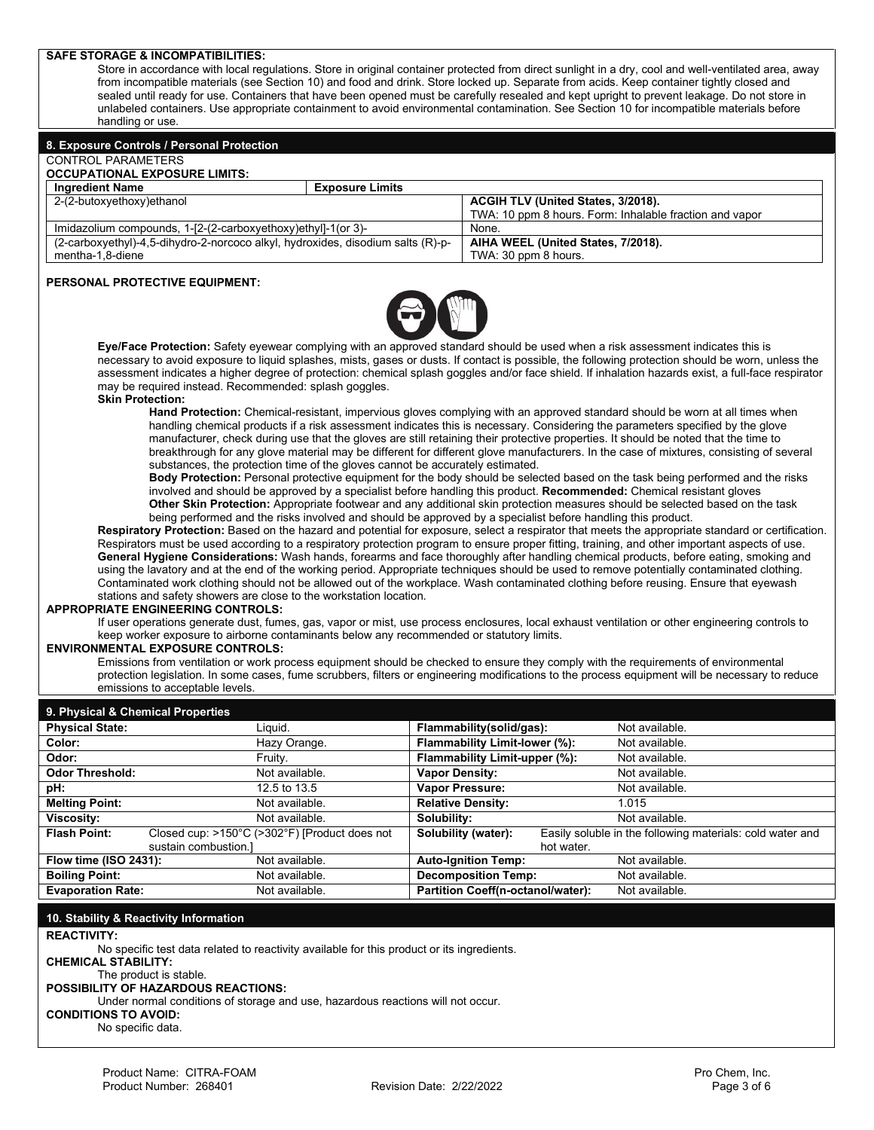## **SAFE STORAGE & INCOMPATIBILITIES:**  Store in accordance with local regulations. Store in original container protected from direct sunlight in a dry, cool and well-ventilated area, away from incompatible materials (see Section 10) and food and drink. Store locked up. Separate from acids. Keep container tightly closed and sealed until ready for use. Containers that have been opened must be carefully resealed and kept upright to prevent leakage. Do not store in unlabeled containers. Use appropriate containment to avoid environmental contamination. See Section 10 for incompatible materials before handling or use. **8. Exposure Controls / Personal Protection** CONTROL PARAMETERS **OCCUPATIONAL EXPOSURE LIMITS: Ingredient Name Exposure Limits**<br> **Exposure Limits**<br> **Exposure Limits** ACGIH TLV (United States, 3/2018). TWA: 10 ppm 8 hours. Form: Inhalable fraction and vapor Imidazolium compounds, 1-[2-(2-carboxyethoxy)ethyl]-1(or 3)-(2-carboxyethyl)-4,5-dihydro-2-norcoco alkyl, hydroxides, disodium salts (R)-pmentha-1,8-diene **AIHA WEEL (United States, 7/2018).** TWA: 30 ppm 8 hours. **PERSONAL PROTECTIVE EQUIPMENT: Eye/Face Protection:** Safety eyewear complying with an approved standard should be used when a risk assessment indicates this is necessary to avoid exposure to liquid splashes, mists, gases or dusts. If contact is possible, the following protection should be worn, unless the assessment indicates a higher degree of protection: chemical splash goggles and/or face shield. If inhalation hazards exist, a full-face respirator may be required instead. Recommended: splash goggles.

#### **Skin Protection:**

**Hand Protection:** Chemical-resistant, impervious gloves complying with an approved standard should be worn at all times when handling chemical products if a risk assessment indicates this is necessary. Considering the parameters specified by the glove manufacturer, check during use that the gloves are still retaining their protective properties. It should be noted that the time to breakthrough for any glove material may be different for different glove manufacturers. In the case of mixtures, consisting of several substances, the protection time of the gloves cannot be accurately estimated.

**Body Protection:** Personal protective equipment for the body should be selected based on the task being performed and the risks involved and should be approved by a specialist before handling this product. **Recommended:** Chemical resistant gloves **Other Skin Protection:** Appropriate footwear and any additional skin protection measures should be selected based on the task being performed and the risks involved and should be approved by a specialist before handling this product.

**Respiratory Protection:** Based on the hazard and potential for exposure, select a respirator that meets the appropriate standard or certification. Respirators must be used according to a respiratory protection program to ensure proper fitting, training, and other important aspects of use. **General Hygiene Considerations:** Wash hands, forearms and face thoroughly after handling chemical products, before eating, smoking and using the lavatory and at the end of the working period. Appropriate techniques should be used to remove potentially contaminated clothing. Contaminated work clothing should not be allowed out of the workplace. Wash contaminated clothing before reusing. Ensure that eyewash stations and safety showers are close to the workstation location.

#### **APPROPRIATE ENGINEERING CONTROLS:**

If user operations generate dust, fumes, gas, vapor or mist, use process enclosures, local exhaust ventilation or other engineering controls to keep worker exposure to airborne contaminants below any recommended or statutory limits.

#### **ENVIRONMENTAL EXPOSURE CONTROLS:**

Emissions from ventilation or work process equipment should be checked to ensure they comply with the requirements of environmental protection legislation. In some cases, fume scrubbers, filters or engineering modifications to the process equipment will be necessary to reduce emissions to acceptable levels.

| 9. Physical & Chemical Properties |                                               |                                   |                                                           |  |
|-----------------------------------|-----------------------------------------------|-----------------------------------|-----------------------------------------------------------|--|
| <b>Physical State:</b>            | Liauid.                                       | Flammability(solid/gas):          | Not available.                                            |  |
| Color:                            | Hazy Orange.                                  | Flammability Limit-lower (%):     | Not available.                                            |  |
| Odor:                             | Fruitv.                                       | Flammability Limit-upper (%):     | Not available.                                            |  |
| <b>Odor Threshold:</b>            | Not available.                                | <b>Vapor Density:</b>             | Not available.                                            |  |
| pH:                               | 12.5 to 13.5                                  | <b>Vapor Pressure:</b>            | Not available.                                            |  |
| <b>Melting Point:</b>             | Not available.                                | <b>Relative Density:</b>          | 1.015                                                     |  |
| Viscosity:                        | Not available.                                | Solubility:                       | Not available.                                            |  |
| <b>Flash Point:</b>               | Closed cup: >150°C (>302°F) [Product does not | Solubility (water):               | Easily soluble in the following materials: cold water and |  |
| sustain combustion.]              |                                               | hot water.                        |                                                           |  |
| Flow time (ISO 2431):             | Not available.                                | <b>Auto-Ignition Temp:</b>        | Not available.                                            |  |
| <b>Boiling Point:</b>             | Not available.                                | <b>Decomposition Temp:</b>        | Not available.                                            |  |
| <b>Evaporation Rate:</b>          | Not available.                                | Partition Coeff(n-octanol/water): | Not available.                                            |  |

### **10. Stability & Reactivity Information**

**REACTIVITY:**

No specific test data related to reactivity available for this product or its ingredients.

**CHEMICAL STABILITY:** 

The product is stable. **POSSIBILITY OF HAZARDOUS REACTIONS:**

Under normal conditions of storage and use, hazardous reactions will not occur.

**CONDITIONS TO AVOID:**  No specific data.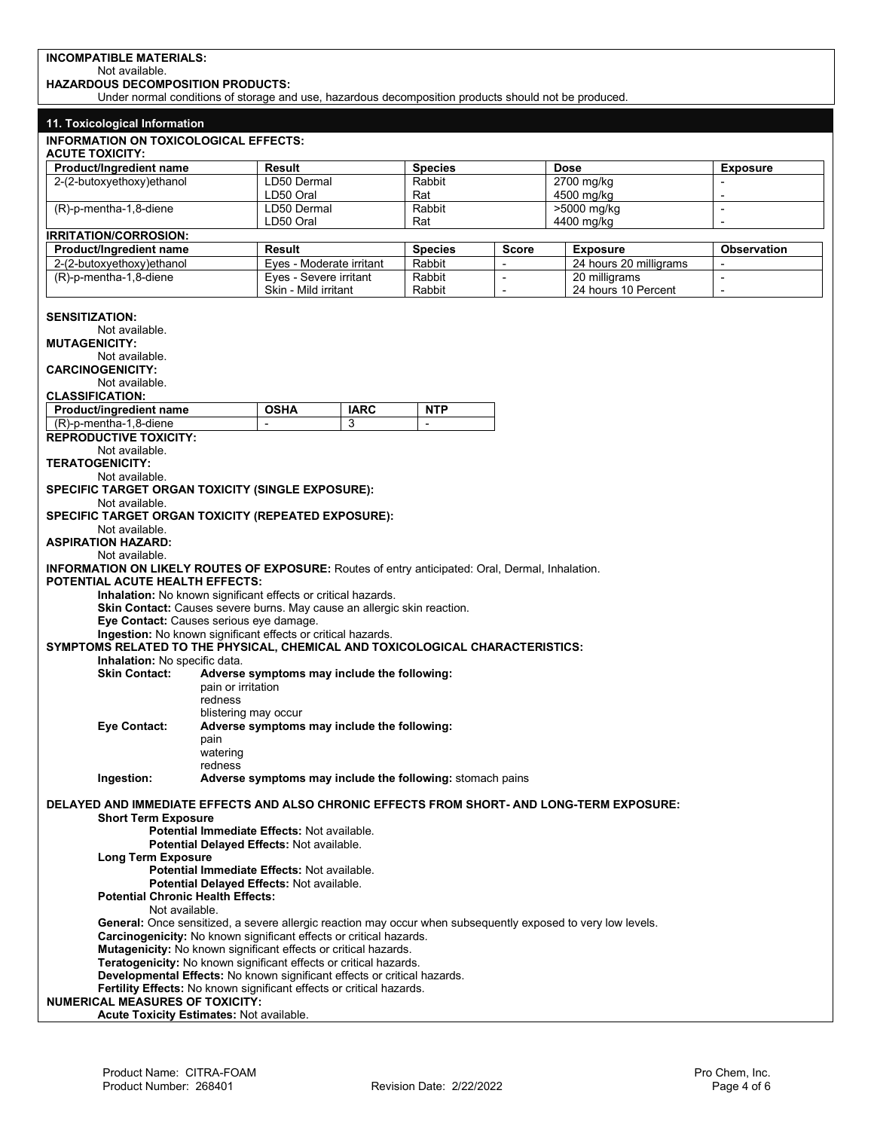## **INCOMPATIBLE MATERIALS:**

Not available.

**HAZARDOUS DECOMPOSITION PRODUCTS:**

Under normal conditions of storage and use, hazardous decomposition products should not be produced.

| 11. Toxicological Information                                                                                                                                                                                                                                                                                                                                                                                                                                                                                                                                                                                                                                                                                                                                                                                                                                                                                                           |                                                                                                                    |             |                                |                          |                        |                          |  |
|-----------------------------------------------------------------------------------------------------------------------------------------------------------------------------------------------------------------------------------------------------------------------------------------------------------------------------------------------------------------------------------------------------------------------------------------------------------------------------------------------------------------------------------------------------------------------------------------------------------------------------------------------------------------------------------------------------------------------------------------------------------------------------------------------------------------------------------------------------------------------------------------------------------------------------------------|--------------------------------------------------------------------------------------------------------------------|-------------|--------------------------------|--------------------------|------------------------|--------------------------|--|
| <b>INFORMATION ON TOXICOLOGICAL EFFECTS:</b><br><b>ACUTE TOXICITY:</b>                                                                                                                                                                                                                                                                                                                                                                                                                                                                                                                                                                                                                                                                                                                                                                                                                                                                  |                                                                                                                    |             |                                |                          |                        |                          |  |
| Product/Ingredient name                                                                                                                                                                                                                                                                                                                                                                                                                                                                                                                                                                                                                                                                                                                                                                                                                                                                                                                 | Result                                                                                                             |             | <b>Species</b>                 |                          | <b>Dose</b>            | <b>Exposure</b>          |  |
| 2-(2-butoxyethoxy)ethanol                                                                                                                                                                                                                                                                                                                                                                                                                                                                                                                                                                                                                                                                                                                                                                                                                                                                                                               | LD50 Dermal                                                                                                        |             | Rabbit                         |                          | 2700 mg/kg             |                          |  |
|                                                                                                                                                                                                                                                                                                                                                                                                                                                                                                                                                                                                                                                                                                                                                                                                                                                                                                                                         | LD50 Oral                                                                                                          |             | Rat                            |                          | 4500 mg/kg             | $\overline{a}$           |  |
| (R)-p-mentha-1,8-diene                                                                                                                                                                                                                                                                                                                                                                                                                                                                                                                                                                                                                                                                                                                                                                                                                                                                                                                  | LD50 Dermal                                                                                                        |             | Rabbit                         |                          | >5000 mg/kg            | $\overline{a}$           |  |
|                                                                                                                                                                                                                                                                                                                                                                                                                                                                                                                                                                                                                                                                                                                                                                                                                                                                                                                                         | LD50 Oral                                                                                                          |             | Rat                            |                          | 4400 mg/kg             | $\overline{\phantom{a}}$ |  |
| IRRITATION/CORROSION:                                                                                                                                                                                                                                                                                                                                                                                                                                                                                                                                                                                                                                                                                                                                                                                                                                                                                                                   |                                                                                                                    |             |                                |                          |                        |                          |  |
| Product/Ingredient name                                                                                                                                                                                                                                                                                                                                                                                                                                                                                                                                                                                                                                                                                                                                                                                                                                                                                                                 | Result                                                                                                             |             | <b>Species</b><br><b>Score</b> |                          | <b>Exposure</b>        | <b>Observation</b>       |  |
| 2-(2-butoxyethoxy)ethanol                                                                                                                                                                                                                                                                                                                                                                                                                                                                                                                                                                                                                                                                                                                                                                                                                                                                                                               | Eves - Moderate irritant                                                                                           |             | Rabbit                         | $\sim$                   | 24 hours 20 milligrams | ÷,                       |  |
| (R)-p-mentha-1,8-diene                                                                                                                                                                                                                                                                                                                                                                                                                                                                                                                                                                                                                                                                                                                                                                                                                                                                                                                  | Eyes - Severe irritant                                                                                             |             | Rabbit                         | $\overline{\phantom{a}}$ | 20 milligrams          | ÷,                       |  |
|                                                                                                                                                                                                                                                                                                                                                                                                                                                                                                                                                                                                                                                                                                                                                                                                                                                                                                                                         | Skin - Mild irritant                                                                                               |             | Rabbit                         | $\overline{\phantom{a}}$ | 24 hours 10 Percent    | $\overline{\phantom{a}}$ |  |
| <b>SENSITIZATION:</b><br>Not available.<br><b>MUTAGENICITY:</b><br>Not available.<br><b>CARCINOGENICITY:</b><br>Not available.<br><b>CLASSIFICATION:</b>                                                                                                                                                                                                                                                                                                                                                                                                                                                                                                                                                                                                                                                                                                                                                                                |                                                                                                                    |             |                                |                          |                        |                          |  |
| Product/ingredient name                                                                                                                                                                                                                                                                                                                                                                                                                                                                                                                                                                                                                                                                                                                                                                                                                                                                                                                 | <b>OSHA</b>                                                                                                        | <b>IARC</b> | <b>NTP</b>                     |                          |                        |                          |  |
| (R)-p-mentha-1,8-diene                                                                                                                                                                                                                                                                                                                                                                                                                                                                                                                                                                                                                                                                                                                                                                                                                                                                                                                  |                                                                                                                    | 3           |                                |                          |                        |                          |  |
| <b>REPRODUCTIVE TOXICITY:</b>                                                                                                                                                                                                                                                                                                                                                                                                                                                                                                                                                                                                                                                                                                                                                                                                                                                                                                           |                                                                                                                    |             |                                |                          |                        |                          |  |
| Not available.<br><b>TERATOGENICITY:</b><br>Not available.<br><b>SPECIFIC TARGET ORGAN TOXICITY (SINGLE EXPOSURE):</b><br>Not available.<br>SPECIFIC TARGET ORGAN TOXICITY (REPEATED EXPOSURE):<br>Not available.<br><b>ASPIRATION HAZARD:</b><br>Not available.<br><b>INFORMATION ON LIKELY ROUTES OF EXPOSURE:</b> Routes of entry anticipated: Oral, Dermal, Inhalation.<br><b>POTENTIAL ACUTE HEALTH EFFECTS:</b><br>Inhalation: No known significant effects or critical hazards.<br>Skin Contact: Causes severe burns. May cause an allergic skin reaction.<br>Eye Contact: Causes serious eye damage.<br>Ingestion: No known significant effects or critical hazards.<br>SYMPTOMS RELATED TO THE PHYSICAL, CHEMICAL AND TOXICOLOGICAL CHARACTERISTICS:<br><b>Inhalation:</b> No specific data.<br><b>Skin Contact:</b><br>pain or irritation<br>redness<br>Eye Contact:<br>pain<br>watering                                      | Adverse symptoms may include the following:<br>blistering may occur<br>Adverse symptoms may include the following: |             |                                |                          |                        |                          |  |
| redness<br>Ingestion:<br>Adverse symptoms may include the following: stomach pains                                                                                                                                                                                                                                                                                                                                                                                                                                                                                                                                                                                                                                                                                                                                                                                                                                                      |                                                                                                                    |             |                                |                          |                        |                          |  |
| DELAYED AND IMMEDIATE EFFECTS AND ALSO CHRONIC EFFECTS FROM SHORT- AND LONG-TERM EXPOSURE:<br><b>Short Term Exposure</b><br>Potential Immediate Effects: Not available.<br>Potential Delayed Effects: Not available.<br><b>Long Term Exposure</b><br>Potential Immediate Effects: Not available.<br>Potential Delayed Effects: Not available.<br><b>Potential Chronic Health Effects:</b><br>Not available.<br>General: Once sensitized, a severe allergic reaction may occur when subsequently exposed to very low levels.<br>Carcinogenicity: No known significant effects or critical hazards.<br>Mutagenicity: No known significant effects or critical hazards.<br>Teratogenicity: No known significant effects or critical hazards.<br>Developmental Effects: No known significant effects or critical hazards.<br>Fertility Effects: No known significant effects or critical hazards.<br><b>NUMERICAL MEASURES OF TOXICITY:</b> |                                                                                                                    |             |                                |                          |                        |                          |  |
| Acute Toxicity Estimates: Not available.                                                                                                                                                                                                                                                                                                                                                                                                                                                                                                                                                                                                                                                                                                                                                                                                                                                                                                |                                                                                                                    |             |                                |                          |                        |                          |  |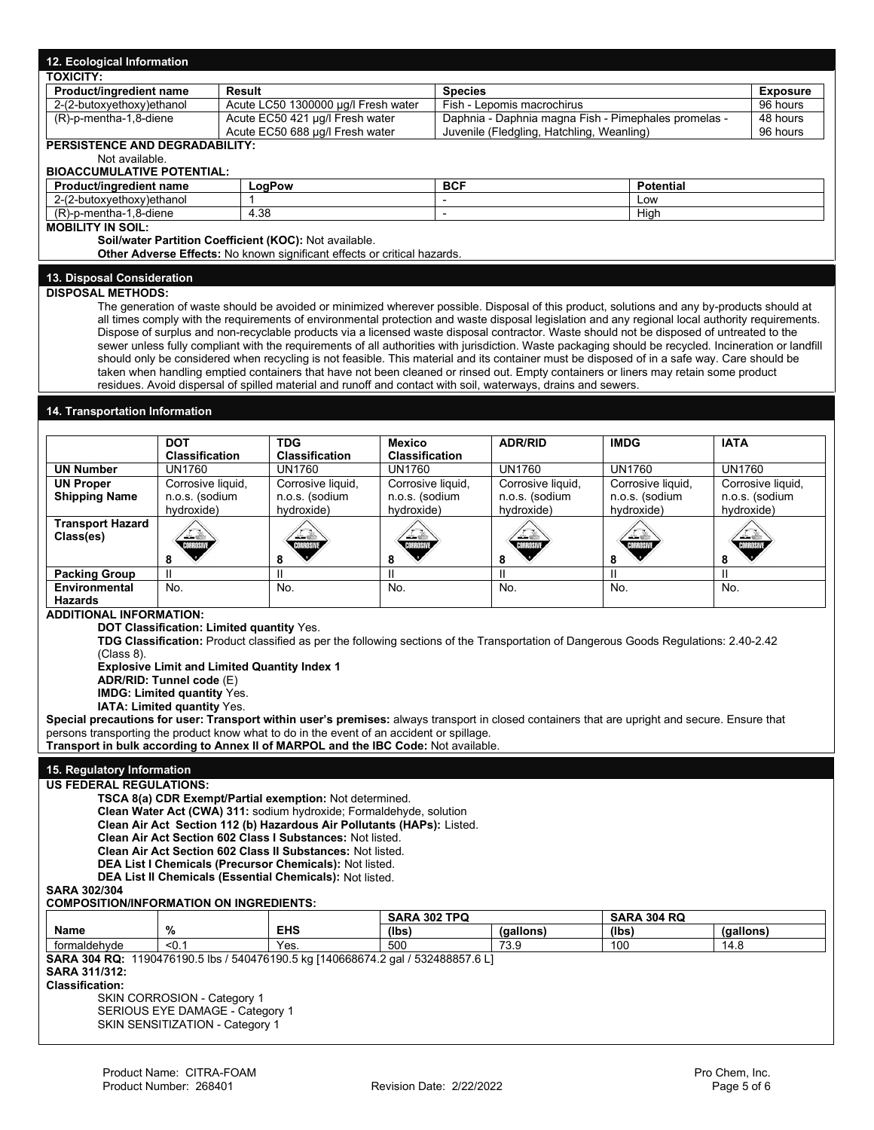| 12. Ecological Information                                                                                                          |                                                                  |                                                                                                                                                                                                                                                                                                    |                                        |                                                                                                   |                              |                              |                   |                              |  |
|-------------------------------------------------------------------------------------------------------------------------------------|------------------------------------------------------------------|----------------------------------------------------------------------------------------------------------------------------------------------------------------------------------------------------------------------------------------------------------------------------------------------------|----------------------------------------|---------------------------------------------------------------------------------------------------|------------------------------|------------------------------|-------------------|------------------------------|--|
| <b>TOXICITY:</b><br>Product/ingredient name<br>Result                                                                               |                                                                  |                                                                                                                                                                                                                                                                                                    | <b>Species</b>                         |                                                                                                   |                              |                              | <b>Exposure</b>   |                              |  |
|                                                                                                                                     | 2-(2-butoxyethoxy)ethanol<br>Acute LC50 1300000 µg/l Fresh water |                                                                                                                                                                                                                                                                                                    |                                        | Fish - Lepomis macrochirus                                                                        |                              | 96 hours                     |                   |                              |  |
| (R)-p-mentha-1,8-diene                                                                                                              |                                                                  | Acute EC50 421 µg/l Fresh water<br>Acute EC50 688 µg/l Fresh water                                                                                                                                                                                                                                 |                                        | Daphnia - Daphnia magna Fish - Pimephales promelas -<br>Juvenile (Fledgling, Hatchling, Weanling) |                              |                              |                   | 48 hours<br>96 hours         |  |
| PERSISTENCE AND DEGRADABILITY:                                                                                                      |                                                                  |                                                                                                                                                                                                                                                                                                    |                                        |                                                                                                   |                              |                              |                   |                              |  |
| Not available.<br><b>BIOACCUMULATIVE POTENTIAL:</b>                                                                                 |                                                                  |                                                                                                                                                                                                                                                                                                    |                                        |                                                                                                   |                              |                              |                   |                              |  |
| Product/ingredient name                                                                                                             |                                                                  | LogPow                                                                                                                                                                                                                                                                                             |                                        | <b>BCF</b><br><b>Potential</b>                                                                    |                              |                              |                   |                              |  |
| 2-(2-butoxyethoxy)ethanol                                                                                                           | 1<br>Low<br>÷.                                                   |                                                                                                                                                                                                                                                                                                    |                                        |                                                                                                   |                              |                              |                   |                              |  |
| (R)-p-mentha-1,8-diene<br>4.38<br>High<br>$\overline{a}$                                                                            |                                                                  |                                                                                                                                                                                                                                                                                                    |                                        |                                                                                                   |                              |                              |                   |                              |  |
| <b>MOBILITY IN SOIL:</b>                                                                                                            |                                                                  | Soil/water Partition Coefficient (KOC): Not available.                                                                                                                                                                                                                                             |                                        |                                                                                                   |                              |                              |                   |                              |  |
|                                                                                                                                     |                                                                  | Other Adverse Effects: No known significant effects or critical hazards.                                                                                                                                                                                                                           |                                        |                                                                                                   |                              |                              |                   |                              |  |
| 13. Disposal Consideration                                                                                                          |                                                                  |                                                                                                                                                                                                                                                                                                    |                                        |                                                                                                   |                              |                              |                   |                              |  |
| <b>DISPOSAL METHODS:</b>                                                                                                            |                                                                  |                                                                                                                                                                                                                                                                                                    |                                        |                                                                                                   |                              |                              |                   |                              |  |
|                                                                                                                                     |                                                                  | The generation of waste should be avoided or minimized wherever possible. Disposal of this product, solutions and any by-products should at                                                                                                                                                        |                                        |                                                                                                   |                              |                              |                   |                              |  |
|                                                                                                                                     |                                                                  | all times comply with the requirements of environmental protection and waste disposal legislation and any regional local authority requirements.                                                                                                                                                   |                                        |                                                                                                   |                              |                              |                   |                              |  |
|                                                                                                                                     |                                                                  | Dispose of surplus and non-recyclable products via a licensed waste disposal contractor. Waste should not be disposed of untreated to the<br>sewer unless fully compliant with the requirements of all authorities with jurisdiction. Waste packaging should be recycled. Incineration or landfill |                                        |                                                                                                   |                              |                              |                   |                              |  |
|                                                                                                                                     |                                                                  | should only be considered when recycling is not feasible. This material and its container must be disposed of in a safe way. Care should be                                                                                                                                                        |                                        |                                                                                                   |                              |                              |                   |                              |  |
|                                                                                                                                     |                                                                  | taken when handling emptied containers that have not been cleaned or rinsed out. Empty containers or liners may retain some product                                                                                                                                                                |                                        |                                                                                                   |                              |                              |                   |                              |  |
|                                                                                                                                     |                                                                  | residues. Avoid dispersal of spilled material and runoff and contact with soil, waterways, drains and sewers.                                                                                                                                                                                      |                                        |                                                                                                   |                              |                              |                   |                              |  |
| 14. Transportation Information                                                                                                      |                                                                  |                                                                                                                                                                                                                                                                                                    |                                        |                                                                                                   |                              |                              |                   |                              |  |
|                                                                                                                                     |                                                                  |                                                                                                                                                                                                                                                                                                    |                                        |                                                                                                   |                              |                              |                   |                              |  |
|                                                                                                                                     | <b>DOT</b><br><b>Classification</b>                              | <b>TDG</b><br>Classification                                                                                                                                                                                                                                                                       | <b>Mexico</b><br><b>Classification</b> |                                                                                                   | <b>ADR/RID</b>               | <b>IMDG</b>                  | <b>IATA</b>       |                              |  |
| <b>UN Number</b>                                                                                                                    | <b>UN1760</b>                                                    | <b>UN1760</b>                                                                                                                                                                                                                                                                                      | <b>UN1760</b>                          |                                                                                                   | <b>UN1760</b>                | <b>UN1760</b>                | <b>UN1760</b>     |                              |  |
| <b>UN Proper</b>                                                                                                                    | Corrosive liquid,                                                | Corrosive liquid,                                                                                                                                                                                                                                                                                  | Corrosive liquid,                      |                                                                                                   | Corrosive liquid,            | Corrosive liquid,            |                   | Corrosive liquid,            |  |
| <b>Shipping Name</b>                                                                                                                | n.o.s. (sodium<br>hydroxide)                                     | n.o.s. (sodium<br>hydroxide)                                                                                                                                                                                                                                                                       | n.o.s. (sodium<br>hydroxide)           |                                                                                                   | n.o.s. (sodium<br>hydroxide) | n.o.s. (sodium<br>hydroxide) |                   | n.o.s. (sodium<br>hydroxide) |  |
| <b>Transport Hazard</b>                                                                                                             |                                                                  |                                                                                                                                                                                                                                                                                                    |                                        |                                                                                                   |                              |                              |                   |                              |  |
| Class(es)                                                                                                                           |                                                                  |                                                                                                                                                                                                                                                                                                    |                                        |                                                                                                   |                              |                              |                   |                              |  |
|                                                                                                                                     | 8                                                                | 8                                                                                                                                                                                                                                                                                                  | 8                                      |                                                                                                   | 8                            | 8                            |                   |                              |  |
| <b>Packing Group</b>                                                                                                                | Ш                                                                | Ш                                                                                                                                                                                                                                                                                                  | Ш                                      |                                                                                                   | $\mathbf{I}$                 | $\mathbf{I}$                 | 8<br>$\mathbf{I}$ |                              |  |
| <b>Environmental</b>                                                                                                                | No.                                                              | No.                                                                                                                                                                                                                                                                                                | No.                                    |                                                                                                   | No.                          | No.                          | No.               |                              |  |
| <b>Hazards</b><br><b>ADDITIONAL INFORMATION:</b>                                                                                    |                                                                  |                                                                                                                                                                                                                                                                                                    |                                        |                                                                                                   |                              |                              |                   |                              |  |
|                                                                                                                                     |                                                                  | <b>DOT Classification: Limited quantity Yes.</b>                                                                                                                                                                                                                                                   |                                        |                                                                                                   |                              |                              |                   |                              |  |
|                                                                                                                                     |                                                                  | TDG Classification: Product classified as per the following sections of the Transportation of Dangerous Goods Regulations: 2.40-2.42                                                                                                                                                               |                                        |                                                                                                   |                              |                              |                   |                              |  |
| (Class 8).                                                                                                                          |                                                                  | <b>Explosive Limit and Limited Quantity Index 1</b>                                                                                                                                                                                                                                                |                                        |                                                                                                   |                              |                              |                   |                              |  |
|                                                                                                                                     | ADR/RID: Tunnel code (E)                                         |                                                                                                                                                                                                                                                                                                    |                                        |                                                                                                   |                              |                              |                   |                              |  |
|                                                                                                                                     | <b>IMDG: Limited quantity Yes.</b>                               |                                                                                                                                                                                                                                                                                                    |                                        |                                                                                                   |                              |                              |                   |                              |  |
|                                                                                                                                     | IATA: Limited quantity Yes.                                      |                                                                                                                                                                                                                                                                                                    |                                        |                                                                                                   |                              |                              |                   |                              |  |
|                                                                                                                                     |                                                                  | Special precautions for user: Transport within user's premises: always transport in closed containers that are upright and secure. Ensure that<br>persons transporting the product know what to do in the event of an accident or spillage.                                                        |                                        |                                                                                                   |                              |                              |                   |                              |  |
|                                                                                                                                     |                                                                  | Transport in bulk according to Annex II of MARPOL and the IBC Code: Not available.                                                                                                                                                                                                                 |                                        |                                                                                                   |                              |                              |                   |                              |  |
| 15. Regulatory Information                                                                                                          |                                                                  |                                                                                                                                                                                                                                                                                                    |                                        |                                                                                                   |                              |                              |                   |                              |  |
| <b>US FEDERAL REGULATIONS:</b>                                                                                                      |                                                                  |                                                                                                                                                                                                                                                                                                    |                                        |                                                                                                   |                              |                              |                   |                              |  |
|                                                                                                                                     |                                                                  | TSCA 8(a) CDR Exempt/Partial exemption: Not determined.                                                                                                                                                                                                                                            |                                        |                                                                                                   |                              |                              |                   |                              |  |
| Clean Water Act (CWA) 311: sodium hydroxide; Formaldehyde, solution                                                                 |                                                                  |                                                                                                                                                                                                                                                                                                    |                                        |                                                                                                   |                              |                              |                   |                              |  |
| Clean Air Act Section 112 (b) Hazardous Air Pollutants (HAPs): Listed.<br>Clean Air Act Section 602 Class I Substances: Not listed. |                                                                  |                                                                                                                                                                                                                                                                                                    |                                        |                                                                                                   |                              |                              |                   |                              |  |
| Clean Air Act Section 602 Class II Substances: Not listed.                                                                          |                                                                  |                                                                                                                                                                                                                                                                                                    |                                        |                                                                                                   |                              |                              |                   |                              |  |
|                                                                                                                                     |                                                                  | DEA List I Chemicals (Precursor Chemicals): Not listed.                                                                                                                                                                                                                                            |                                        |                                                                                                   |                              |                              |                   |                              |  |
| <b>SARA 302/304</b>                                                                                                                 |                                                                  | DEA List II Chemicals (Essential Chemicals): Not listed.                                                                                                                                                                                                                                           |                                        |                                                                                                   |                              |                              |                   |                              |  |
| <b>COMPOSITION/INFORMATION ON INGREDIENTS:</b>                                                                                      |                                                                  |                                                                                                                                                                                                                                                                                                    |                                        |                                                                                                   |                              |                              |                   |                              |  |
| SARA 302 TPQ<br><b>SARA 304 RQ</b>                                                                                                  |                                                                  |                                                                                                                                                                                                                                                                                                    |                                        |                                                                                                   |                              |                              |                   |                              |  |
| Name                                                                                                                                | %                                                                | <b>EHS</b>                                                                                                                                                                                                                                                                                         | (lbs)                                  |                                                                                                   | (gallons)                    | (lbs)                        | (gallons)         |                              |  |
| formaldehyde                                                                                                                        | $0.1$                                                            | Yes.<br>SARA 304 RQ: 1190476190.5 lbs / 540476190.5 kg [140668674.2 gal / 532488857.6 L]                                                                                                                                                                                                           | 500                                    |                                                                                                   | 73.9                         | 100                          | 14.8              |                              |  |
| SARA 311/312:                                                                                                                       |                                                                  |                                                                                                                                                                                                                                                                                                    |                                        |                                                                                                   |                              |                              |                   |                              |  |
| <b>Classification:</b>                                                                                                              |                                                                  |                                                                                                                                                                                                                                                                                                    |                                        |                                                                                                   |                              |                              |                   |                              |  |
|                                                                                                                                     | SKIN CORROSION - Category 1<br>SERIOUS EYE DAMAGE - Category 1   |                                                                                                                                                                                                                                                                                                    |                                        |                                                                                                   |                              |                              |                   |                              |  |
| SKIN SENSITIZATION - Category 1                                                                                                     |                                                                  |                                                                                                                                                                                                                                                                                                    |                                        |                                                                                                   |                              |                              |                   |                              |  |
|                                                                                                                                     |                                                                  |                                                                                                                                                                                                                                                                                                    |                                        |                                                                                                   |                              |                              |                   |                              |  |